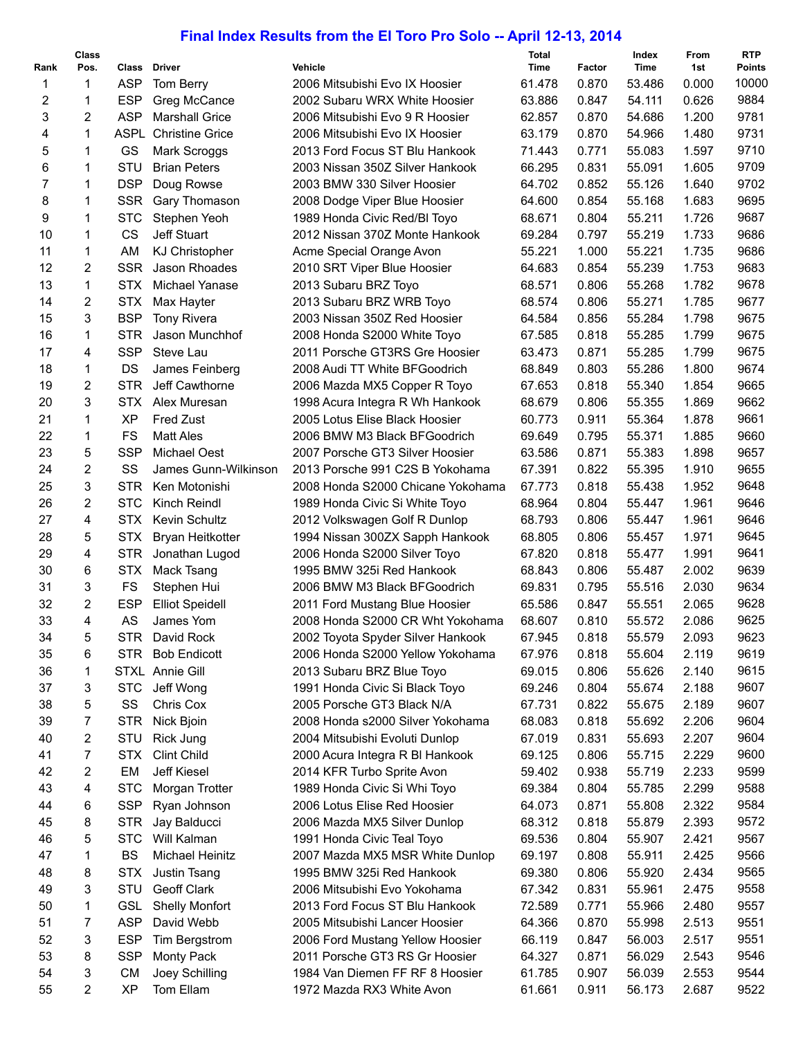## **Final Index Results from the El Toro Pro Solo -- April 12-13, 2014**

|      | Class          |            |                             |                                   | Total  |        | Index  | From  | <b>RTP</b>    |
|------|----------------|------------|-----------------------------|-----------------------------------|--------|--------|--------|-------|---------------|
| Rank | Pos.           | Class      | <b>Driver</b>               | Vehicle                           | Time   | Factor | Time   | 1st   | <b>Points</b> |
| 1    | 1              | <b>ASP</b> | Tom Berry                   | 2006 Mitsubishi Evo IX Hoosier    | 61.478 | 0.870  | 53.486 | 0.000 | 10000         |
| 2    | 1              | <b>ESP</b> | Greg McCance                | 2002 Subaru WRX White Hoosier     | 63.886 | 0.847  | 54.111 | 0.626 | 9884          |
| 3    | 2              | <b>ASP</b> | <b>Marshall Grice</b>       | 2006 Mitsubishi Evo 9 R Hoosier   | 62.857 | 0.870  | 54.686 | 1.200 | 9781          |
| 4    | 1              |            | <b>ASPL Christine Grice</b> | 2006 Mitsubishi Evo IX Hoosier    | 63.179 | 0.870  | 54.966 | 1.480 | 9731          |
| 5    | 1              | GS         | Mark Scroggs                | 2013 Ford Focus ST Blu Hankook    | 71.443 | 0.771  | 55.083 | 1.597 | 9710          |
| 6    | 1              | STU        | <b>Brian Peters</b>         | 2003 Nissan 350Z Silver Hankook   | 66.295 | 0.831  | 55.091 | 1.605 | 9709          |
| 7    | 1              | <b>DSP</b> | Doug Rowse                  | 2003 BMW 330 Silver Hoosier       | 64.702 | 0.852  | 55.126 | 1.640 | 9702          |
| 8    | 1              | <b>SSR</b> | Gary Thomason               | 2008 Dodge Viper Blue Hoosier     | 64.600 | 0.854  | 55.168 | 1.683 | 9695          |
| 9    | 1              | <b>STC</b> | Stephen Yeoh                | 1989 Honda Civic Red/BI Toyo      | 68.671 | 0.804  | 55.211 | 1.726 | 9687          |
| 10   | 1              | <b>CS</b>  | Jeff Stuart                 | 2012 Nissan 370Z Monte Hankook    | 69.284 | 0.797  | 55.219 | 1.733 | 9686          |
| 11   | 1              | AM         | <b>KJ Christopher</b>       | Acme Special Orange Avon          | 55.221 | 1.000  | 55.221 | 1.735 | 9686          |
| 12   | 2              | <b>SSR</b> | Jason Rhoades               | 2010 SRT Viper Blue Hoosier       | 64.683 | 0.854  | 55.239 | 1.753 | 9683          |
| 13   | 1              | STX.       | Michael Yanase              | 2013 Subaru BRZ Toyo              | 68.571 | 0.806  | 55.268 | 1.782 | 9678          |
| 14   | 2              | <b>STX</b> | Max Hayter                  | 2013 Subaru BRZ WRB Toyo          | 68.574 | 0.806  | 55.271 | 1.785 | 9677          |
| 15   | 3              | <b>BSP</b> | <b>Tony Rivera</b>          | 2003 Nissan 350Z Red Hoosier      | 64.584 | 0.856  | 55.284 | 1.798 | 9675          |
| 16   | 1              | <b>STR</b> | Jason Munchhof              | 2008 Honda S2000 White Toyo       | 67.585 | 0.818  | 55.285 | 1.799 | 9675          |
| 17   | 4              | <b>SSP</b> | Steve Lau                   | 2011 Porsche GT3RS Gre Hoosier    | 63.473 | 0.871  | 55.285 | 1.799 | 9675          |
| 18   | 1              | DS         | James Feinberg              | 2008 Audi TT White BFGoodrich     | 68.849 | 0.803  | 55.286 | 1.800 | 9674          |
| 19   | 2              | <b>STR</b> | Jeff Cawthorne              | 2006 Mazda MX5 Copper R Toyo      | 67.653 | 0.818  | 55.340 | 1.854 | 9665          |
| 20   | 3              | <b>STX</b> | Alex Muresan                | 1998 Acura Integra R Wh Hankook   | 68.679 | 0.806  | 55.355 | 1.869 | 9662          |
| 21   | 1              | <b>XP</b>  | Fred Zust                   | 2005 Lotus Elise Black Hoosier    | 60.773 | 0.911  | 55.364 | 1.878 | 9661          |
| 22   | 1              | FS         | <b>Matt Ales</b>            | 2006 BMW M3 Black BFGoodrich      | 69.649 | 0.795  | 55.371 | 1.885 | 9660          |
| 23   | 5              | <b>SSP</b> | <b>Michael Oest</b>         | 2007 Porsche GT3 Silver Hoosier   | 63.586 | 0.871  | 55.383 | 1.898 | 9657          |
| 24   | $\overline{c}$ | SS         | James Gunn-Wilkinson        | 2013 Porsche 991 C2S B Yokohama   | 67.391 | 0.822  | 55.395 | 1.910 | 9655          |
| 25   | 3              | <b>STR</b> | Ken Motonishi               | 2008 Honda S2000 Chicane Yokohama | 67.773 | 0.818  | 55.438 | 1.952 | 9648          |
| 26   | 2              | <b>STC</b> | Kinch Reindl                | 1989 Honda Civic Si White Toyo    | 68.964 | 0.804  | 55.447 | 1.961 | 9646          |
| 27   | 4              | STX.       | Kevin Schultz               | 2012 Volkswagen Golf R Dunlop     | 68.793 | 0.806  | 55.447 | 1.961 | 9646          |
| 28   | 5              | <b>STX</b> | Bryan Heitkotter            | 1994 Nissan 300ZX Sapph Hankook   | 68.805 | 0.806  | 55.457 | 1.971 | 9645          |
| 29   | 4              | <b>STR</b> | Jonathan Lugod              | 2006 Honda S2000 Silver Toyo      | 67.820 | 0.818  | 55.477 | 1.991 | 9641          |
| 30   | 6              | <b>STX</b> | Mack Tsang                  | 1995 BMW 325i Red Hankook         | 68.843 | 0.806  | 55.487 | 2.002 | 9639          |
| 31   | 3              | <b>FS</b>  | Stephen Hui                 | 2006 BMW M3 Black BFGoodrich      | 69.831 | 0.795  | 55.516 | 2.030 | 9634          |
| 32   | $\overline{c}$ | <b>ESP</b> | <b>Elliot Speidell</b>      | 2011 Ford Mustang Blue Hoosier    | 65.586 | 0.847  | 55.551 | 2.065 | 9628          |
| 33   | 4              | <b>AS</b>  | James Yom                   | 2008 Honda S2000 CR Wht Yokohama  | 68.607 | 0.810  | 55.572 | 2.086 | 9625          |
| 34   | 5              | SIR        | David Rock                  | 2002 Toyota Spyder Silver Hankook | 67.945 | 0.818  | 55.579 | 2.093 | 9623          |
| 35   | 6              | STR        | <b>Bob Endicott</b>         | 2006 Honda S2000 Yellow Yokohama  | 67.976 | 0.818  | 55.604 | 2.119 | 9619          |
| 36   | 1              |            | STXL Annie Gill             | 2013 Subaru BRZ Blue Toyo         | 69.015 | 0.806  | 55.626 | 2.140 | 9615          |
| 37   | 3              | <b>STC</b> | Jeff Wong                   | 1991 Honda Civic Si Black Toyo    | 69.246 | 0.804  | 55.674 | 2.188 | 9607          |
| 38   | 5              | SS         | Chris Cox                   | 2005 Porsche GT3 Black N/A        | 67.731 | 0.822  | 55.675 | 2.189 | 9607          |
| 39   | 7              | <b>STR</b> | Nick Bjoin                  | 2008 Honda s2000 Silver Yokohama  | 68.083 | 0.818  | 55.692 | 2.206 | 9604          |
| 40   | 2              | STU        | Rick Jung                   | 2004 Mitsubishi Evoluti Dunlop    | 67.019 | 0.831  | 55.693 | 2.207 | 9604          |
| 41   | 7              | STX        | <b>Clint Child</b>          | 2000 Acura Integra R BI Hankook   | 69.125 | 0.806  | 55.715 | 2.229 | 9600          |
| 42   | 2              | EM         | Jeff Kiesel                 | 2014 KFR Turbo Sprite Avon        | 59.402 | 0.938  | 55.719 | 2.233 | 9599          |
| 43   | 4              | <b>STC</b> | Morgan Trotter              | 1989 Honda Civic Si Whi Toyo      | 69.384 | 0.804  | 55.785 | 2.299 | 9588          |
| 44   | 6              | <b>SSP</b> | Ryan Johnson                | 2006 Lotus Elise Red Hoosier      | 64.073 | 0.871  | 55.808 | 2.322 | 9584          |
| 45   | 8              | <b>STR</b> | Jay Balducci                | 2006 Mazda MX5 Silver Dunlop      | 68.312 | 0.818  | 55.879 | 2.393 | 9572          |
| 46   | 5              | <b>STC</b> | Will Kalman                 | 1991 Honda Civic Teal Toyo        | 69.536 | 0.804  | 55.907 | 2.421 | 9567          |
| 47   | 1              | <b>BS</b>  | Michael Heinitz             | 2007 Mazda MX5 MSR White Dunlop   | 69.197 | 0.808  | 55.911 | 2.425 | 9566          |
| 48   | 8              | <b>STX</b> | Justin Tsang                | 1995 BMW 325i Red Hankook         | 69.380 | 0.806  | 55.920 | 2.434 | 9565          |
| 49   | 3              | STU        | Geoff Clark                 | 2006 Mitsubishi Evo Yokohama      | 67.342 | 0.831  | 55.961 | 2.475 | 9558          |
| 50   | 1              | <b>GSL</b> | <b>Shelly Monfort</b>       | 2013 Ford Focus ST Blu Hankook    | 72.589 | 0.771  | 55.966 | 2.480 | 9557          |
| 51   | 7              | <b>ASP</b> | David Webb                  | 2005 Mitsubishi Lancer Hoosier    | 64.366 | 0.870  | 55.998 | 2.513 | 9551          |
| 52   | 3              | <b>ESP</b> | Tim Bergstrom               | 2006 Ford Mustang Yellow Hoosier  | 66.119 | 0.847  | 56.003 | 2.517 | 9551          |
| 53   | 8              | <b>SSP</b> | <b>Monty Pack</b>           | 2011 Porsche GT3 RS Gr Hoosier    | 64.327 | 0.871  | 56.029 | 2.543 | 9546          |
| 54   | 3              | <b>CM</b>  | Joey Schilling              | 1984 Van Diemen FF RF 8 Hoosier   | 61.785 | 0.907  | 56.039 | 2.553 | 9544          |
| 55   | 2              | <b>XP</b>  | Tom Ellam                   | 1972 Mazda RX3 White Avon         | 61.661 | 0.911  | 56.173 | 2.687 | 9522          |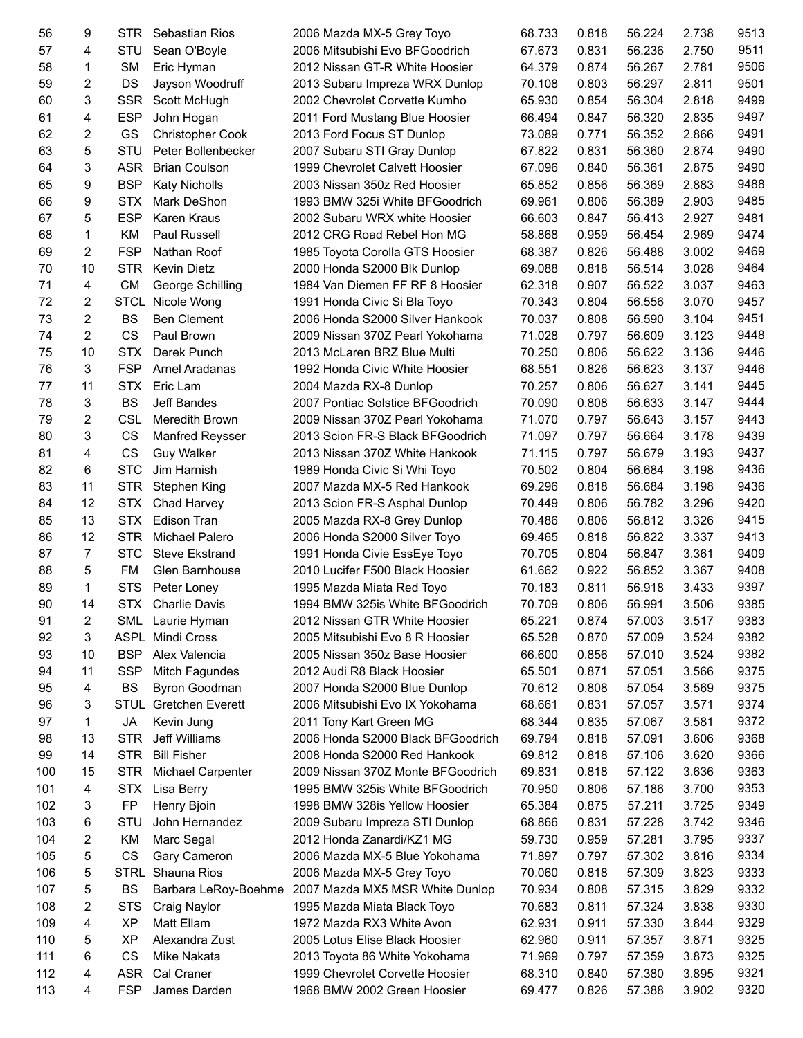| 56  | 9                       | STR        | <b>Sebastian Rios</b>       | 2006 Mazda MX-5 Grey Toyo                            | 68.733 | 0.818 | 56.224 | 2.738 | 9513 |
|-----|-------------------------|------------|-----------------------------|------------------------------------------------------|--------|-------|--------|-------|------|
| 57  | 4                       | STU        | Sean O'Boyle                | 2006 Mitsubishi Evo BFGoodrich                       | 67.673 | 0.831 | 56.236 | 2.750 | 9511 |
| 58  | 1                       | <b>SM</b>  | Eric Hyman                  | 2012 Nissan GT-R White Hoosier                       | 64.379 | 0.874 | 56.267 | 2.781 | 9506 |
| 59  | 2                       | DS         | Jayson Woodruff             | 2013 Subaru Impreza WRX Dunlop                       | 70.108 | 0.803 | 56.297 | 2.811 | 9501 |
| 60  | 3                       | <b>SSR</b> | Scott McHugh                | 2002 Chevrolet Corvette Kumho                        | 65.930 | 0.854 | 56.304 | 2.818 | 9499 |
| 61  | 4                       | <b>ESP</b> | John Hogan                  | 2011 Ford Mustang Blue Hoosier                       | 66.494 | 0.847 | 56.320 | 2.835 | 9497 |
| 62  | $\overline{2}$          | GS         | <b>Christopher Cook</b>     | 2013 Ford Focus ST Dunlop                            | 73.089 | 0.771 | 56.352 | 2.866 | 9491 |
| 63  | 5                       | STU        | Peter Bollenbecker          | 2007 Subaru STI Gray Dunlop                          | 67.822 | 0.831 | 56.360 | 2.874 | 9490 |
| 64  | 3                       | <b>ASR</b> | <b>Brian Coulson</b>        | 1999 Chevrolet Calvett Hoosier                       | 67.096 | 0.840 | 56.361 | 2.875 | 9490 |
| 65  | 9                       | <b>BSP</b> | <b>Katy Nicholls</b>        | 2003 Nissan 350z Red Hoosier                         | 65.852 | 0.856 | 56.369 | 2.883 | 9488 |
| 66  | 9                       | <b>STX</b> | Mark DeShon                 | 1993 BMW 325i White BFGoodrich                       | 69.961 | 0.806 | 56.389 | 2.903 | 9485 |
| 67  | 5                       | <b>ESP</b> | <b>Karen Kraus</b>          | 2002 Subaru WRX white Hoosier                        | 66.603 | 0.847 | 56.413 | 2.927 | 9481 |
| 68  | 1                       | <b>KM</b>  | Paul Russell                | 2012 CRG Road Rebel Hon MG                           | 58.868 | 0.959 | 56.454 | 2.969 | 9474 |
| 69  | 2                       | <b>FSP</b> | Nathan Roof                 | 1985 Toyota Corolla GTS Hoosier                      | 68.387 | 0.826 | 56.488 | 3.002 | 9469 |
| 70  | 10                      | <b>STR</b> | <b>Kevin Dietz</b>          | 2000 Honda S2000 Blk Dunlop                          | 69.088 | 0.818 | 56.514 | 3.028 | 9464 |
| 71  | 4                       | <b>CM</b>  | George Schilling            | 1984 Van Diemen FF RF 8 Hoosier                      | 62.318 | 0.907 | 56.522 | 3.037 | 9463 |
| 72  | 2                       |            | STCL Nicole Wong            | 1991 Honda Civic Si Bla Toyo                         | 70.343 | 0.804 | 56.556 | 3.070 | 9457 |
| 73  | $\overline{2}$          | <b>BS</b>  | <b>Ben Clement</b>          | 2006 Honda S2000 Silver Hankook                      | 70.037 | 0.808 | 56.590 | 3.104 | 9451 |
| 74  | $\overline{2}$          |            |                             |                                                      |        |       |        |       | 9448 |
|     |                         | CS         | Paul Brown                  | 2009 Nissan 370Z Pearl Yokohama                      | 71.028 | 0.797 | 56.609 | 3.123 | 9446 |
| 75  | 10                      | <b>STX</b> | Derek Punch                 | 2013 McLaren BRZ Blue Multi                          | 70.250 | 0.806 | 56.622 | 3.136 |      |
| 76  | 3                       | <b>FSP</b> | Arnel Aradanas              | 1992 Honda Civic White Hoosier                       | 68.551 | 0.826 | 56.623 | 3.137 | 9446 |
| 77  | 11                      | <b>STX</b> | Eric Lam                    | 2004 Mazda RX-8 Dunlop                               | 70.257 | 0.806 | 56.627 | 3.141 | 9445 |
| 78  | 3                       | <b>BS</b>  | Jeff Bandes                 | 2007 Pontiac Solstice BFGoodrich                     | 70.090 | 0.808 | 56.633 | 3.147 | 9444 |
| 79  | $\overline{\mathbf{c}}$ | CSL        | Meredith Brown              | 2009 Nissan 370Z Pearl Yokohama                      | 71.070 | 0.797 | 56.643 | 3.157 | 9443 |
| 80  | 3                       | CS         | Manfred Reysser             | 2013 Scion FR-S Black BFGoodrich                     | 71.097 | 0.797 | 56.664 | 3.178 | 9439 |
| 81  | 4                       | CS         | <b>Guy Walker</b>           | 2013 Nissan 370Z White Hankook                       | 71.115 | 0.797 | 56.679 | 3.193 | 9437 |
| 82  | 6                       | <b>STC</b> | Jim Harnish                 | 1989 Honda Civic Si Whi Toyo                         | 70.502 | 0.804 | 56.684 | 3.198 | 9436 |
| 83  | 11                      | <b>STR</b> | Stephen King                | 2007 Mazda MX-5 Red Hankook                          | 69.296 | 0.818 | 56.684 | 3.198 | 9436 |
| 84  | 12                      | <b>STX</b> | Chad Harvey                 | 2013 Scion FR-S Asphal Dunlop                        | 70.449 | 0.806 | 56.782 | 3.296 | 9420 |
| 85  | 13                      | <b>STX</b> | <b>Edison Tran</b>          | 2005 Mazda RX-8 Grey Dunlop                          | 70.486 | 0.806 | 56.812 | 3.326 | 9415 |
| 86  | 12                      | <b>STR</b> | <b>Michael Palero</b>       | 2006 Honda S2000 Silver Toyo                         | 69.465 | 0.818 | 56.822 | 3.337 | 9413 |
| 87  | 7                       | <b>STC</b> | <b>Steve Ekstrand</b>       | 1991 Honda Civie EssEye Toyo                         | 70.705 | 0.804 | 56.847 | 3.361 | 9409 |
| 88  | 5                       | <b>FM</b>  | Glen Barnhouse              | 2010 Lucifer F500 Black Hoosier                      | 61.662 | 0.922 | 56.852 | 3.367 | 9408 |
| 89  | 1                       | <b>STS</b> | Peter Loney                 | 1995 Mazda Miata Red Toyo                            | 70.183 | 0.811 | 56.918 | 3.433 | 9397 |
| 90  | 14                      | STX        | <b>Charlie Davis</b>        | 1994 BMW 325is White BFGoodrich                      | 70.709 | 0.806 | 56.991 | 3.506 | 9385 |
| 91  | 2                       |            | SML Laurie Hyman            | 2012 Nissan GTR White Hoosier                        | 65.221 | 0.874 | 57.003 | 3.517 | 9383 |
| 92  | 3                       |            | <b>ASPL Mindi Cross</b>     | 2005 Mitsubishi Evo 8 R Hoosier                      | 65.528 | 0.870 | 57.009 | 3.524 | 9382 |
| 93  | 10                      | <b>BSP</b> | Alex Valencia               | 2005 Nissan 350z Base Hoosier                        | 66.600 | 0.856 | 57.010 | 3.524 | 9382 |
| 94  | 11                      | <b>SSP</b> | Mitch Fagundes              | 2012 Audi R8 Black Hoosier                           | 65.501 | 0.871 | 57.051 | 3.566 | 9375 |
| 95  | 4                       | <b>BS</b>  | Byron Goodman               | 2007 Honda S2000 Blue Dunlop                         | 70.612 | 0.808 | 57.054 | 3.569 | 9375 |
| 96  | 3                       |            | STUL Gretchen Everett       | 2006 Mitsubishi Evo IX Yokohama                      | 68.661 | 0.831 | 57.057 | 3.571 | 9374 |
| 97  | 1                       | JA         | Kevin Jung                  | 2011 Tony Kart Green MG                              | 68.344 | 0.835 | 57.067 | 3.581 | 9372 |
| 98  | 13                      | <b>STR</b> | Jeff Williams               | 2006 Honda S2000 Black BFGoodrich                    | 69.794 | 0.818 | 57.091 | 3.606 | 9368 |
| 99  | 14                      | <b>STR</b> | <b>Bill Fisher</b>          | 2008 Honda S2000 Red Hankook                         | 69.812 | 0.818 | 57.106 | 3.620 | 9366 |
| 100 | 15                      | <b>STR</b> | <b>Michael Carpenter</b>    | 2009 Nissan 370Z Monte BFGoodrich                    | 69.831 | 0.818 | 57.122 | 3.636 | 9363 |
| 101 | 4                       | <b>STX</b> | Lisa Berry                  | 1995 BMW 325is White BFGoodrich                      | 70.950 | 0.806 | 57.186 | 3.700 | 9353 |
| 102 | 3                       | <b>FP</b>  | Henry Bjoin                 | 1998 BMW 328is Yellow Hoosier                        | 65.384 | 0.875 | 57.211 | 3.725 | 9349 |
| 103 | 6                       | STU        | John Hernandez              | 2009 Subaru Impreza STI Dunlop                       | 68.866 | 0.831 | 57.228 | 3.742 | 9346 |
| 104 | 2                       | KM         | Marc Segal                  | 2012 Honda Zanardi/KZ1 MG                            | 59.730 | 0.959 | 57.281 | 3.795 | 9337 |
| 105 | 5                       | CS         |                             | 2006 Mazda MX-5 Blue Yokohama                        | 71.897 | 0.797 | 57.302 | 3.816 | 9334 |
|     |                         |            | Gary Cameron<br>Shauna Rios |                                                      | 70.060 |       |        |       | 9333 |
| 106 | 5                       | STRL       |                             | 2006 Mazda MX-5 Grey Toyo                            |        | 0.818 | 57.309 | 3.823 |      |
| 107 | 5                       | <b>BS</b>  |                             | Barbara LeRoy-Boehme 2007 Mazda MX5 MSR White Dunlop | 70.934 | 0.808 | 57.315 | 3.829 | 9332 |
| 108 | 2                       | <b>STS</b> | Craig Naylor                | 1995 Mazda Miata Black Toyo                          | 70.683 | 0.811 | 57.324 | 3.838 | 9330 |
| 109 | 4                       | <b>XP</b>  | Matt Ellam                  | 1972 Mazda RX3 White Avon                            | 62.931 | 0.911 | 57.330 | 3.844 | 9329 |
| 110 | 5                       | <b>XP</b>  | Alexandra Zust              | 2005 Lotus Elise Black Hoosier                       | 62.960 | 0.911 | 57.357 | 3.871 | 9325 |
| 111 | 6                       | CS         | Mike Nakata                 | 2013 Toyota 86 White Yokohama                        | 71.969 | 0.797 | 57.359 | 3.873 | 9325 |
| 112 | 4                       | <b>ASR</b> | Cal Craner                  | 1999 Chevrolet Corvette Hoosier                      | 68.310 | 0.840 | 57.380 | 3.895 | 9321 |
| 113 | 4                       | <b>FSP</b> | James Darden                | 1968 BMW 2002 Green Hoosier                          | 69.477 | 0.826 | 57.388 | 3.902 | 9320 |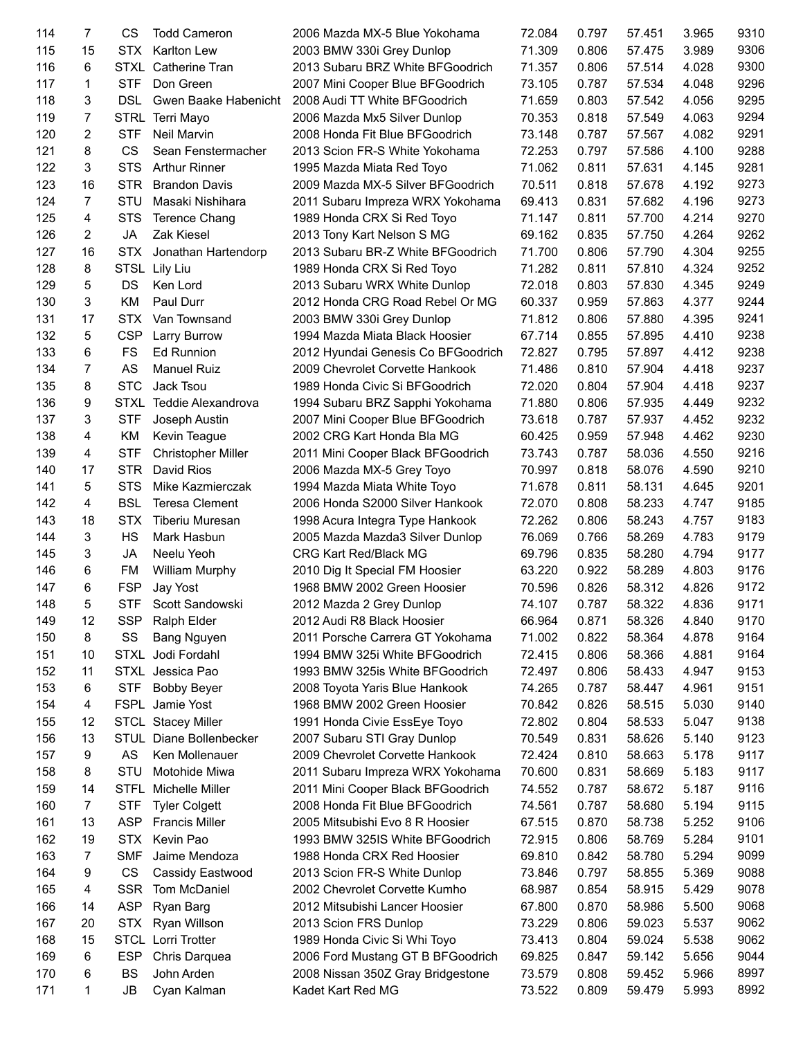| $\overline{7}$ | СS                                                                                                                                                                                             | <b>Todd Cameron</b>                                                                                                                                                                                                                                                                                                                     | 2006 Mazda MX-5 Blue Yokohama                                                                                                                                                                                                                                                                                                                                                                                                                                                                                                                                                                                                                                                                                                                                                                                                                                   | 72.084                                                                                                                                                                                                                                                                                                                                                                                                                                                                                                                                                                                                                                                                                                                                                                                                                                                                                                                                                                                                                                                                                                                                                                                                                                                                                                                                                                     | 0.797                                                                                                                                                                                                                                                                                                                                                                                              | 57.451                                                                                                                                                                                                                                                                                                                                             | 3.965                                                                                                                                                                                                                                                                                                                                                                                              | 9310                                                                                                                                                                                                                                                                                                                                                                 |
|----------------|------------------------------------------------------------------------------------------------------------------------------------------------------------------------------------------------|-----------------------------------------------------------------------------------------------------------------------------------------------------------------------------------------------------------------------------------------------------------------------------------------------------------------------------------------|-----------------------------------------------------------------------------------------------------------------------------------------------------------------------------------------------------------------------------------------------------------------------------------------------------------------------------------------------------------------------------------------------------------------------------------------------------------------------------------------------------------------------------------------------------------------------------------------------------------------------------------------------------------------------------------------------------------------------------------------------------------------------------------------------------------------------------------------------------------------|----------------------------------------------------------------------------------------------------------------------------------------------------------------------------------------------------------------------------------------------------------------------------------------------------------------------------------------------------------------------------------------------------------------------------------------------------------------------------------------------------------------------------------------------------------------------------------------------------------------------------------------------------------------------------------------------------------------------------------------------------------------------------------------------------------------------------------------------------------------------------------------------------------------------------------------------------------------------------------------------------------------------------------------------------------------------------------------------------------------------------------------------------------------------------------------------------------------------------------------------------------------------------------------------------------------------------------------------------------------------------|----------------------------------------------------------------------------------------------------------------------------------------------------------------------------------------------------------------------------------------------------------------------------------------------------------------------------------------------------------------------------------------------------|----------------------------------------------------------------------------------------------------------------------------------------------------------------------------------------------------------------------------------------------------------------------------------------------------------------------------------------------------|----------------------------------------------------------------------------------------------------------------------------------------------------------------------------------------------------------------------------------------------------------------------------------------------------------------------------------------------------------------------------------------------------|----------------------------------------------------------------------------------------------------------------------------------------------------------------------------------------------------------------------------------------------------------------------------------------------------------------------------------------------------------------------|
| 15             | STX                                                                                                                                                                                            | <b>Karlton Lew</b>                                                                                                                                                                                                                                                                                                                      | 2003 BMW 330i Grey Dunlop                                                                                                                                                                                                                                                                                                                                                                                                                                                                                                                                                                                                                                                                                                                                                                                                                                       | 71.309                                                                                                                                                                                                                                                                                                                                                                                                                                                                                                                                                                                                                                                                                                                                                                                                                                                                                                                                                                                                                                                                                                                                                                                                                                                                                                                                                                     | 0.806                                                                                                                                                                                                                                                                                                                                                                                              | 57.475                                                                                                                                                                                                                                                                                                                                             | 3.989                                                                                                                                                                                                                                                                                                                                                                                              | 9306                                                                                                                                                                                                                                                                                                                                                                 |
| 6              |                                                                                                                                                                                                | Catherine Tran                                                                                                                                                                                                                                                                                                                          | 2013 Subaru BRZ White BFGoodrich                                                                                                                                                                                                                                                                                                                                                                                                                                                                                                                                                                                                                                                                                                                                                                                                                                | 71.357                                                                                                                                                                                                                                                                                                                                                                                                                                                                                                                                                                                                                                                                                                                                                                                                                                                                                                                                                                                                                                                                                                                                                                                                                                                                                                                                                                     | 0.806                                                                                                                                                                                                                                                                                                                                                                                              | 57.514                                                                                                                                                                                                                                                                                                                                             | 4.028                                                                                                                                                                                                                                                                                                                                                                                              | 9300                                                                                                                                                                                                                                                                                                                                                                 |
| 1              | <b>STF</b>                                                                                                                                                                                     | Don Green                                                                                                                                                                                                                                                                                                                               | 2007 Mini Cooper Blue BFGoodrich                                                                                                                                                                                                                                                                                                                                                                                                                                                                                                                                                                                                                                                                                                                                                                                                                                | 73.105                                                                                                                                                                                                                                                                                                                                                                                                                                                                                                                                                                                                                                                                                                                                                                                                                                                                                                                                                                                                                                                                                                                                                                                                                                                                                                                                                                     | 0.787                                                                                                                                                                                                                                                                                                                                                                                              | 57.534                                                                                                                                                                                                                                                                                                                                             | 4.048                                                                                                                                                                                                                                                                                                                                                                                              | 9296                                                                                                                                                                                                                                                                                                                                                                 |
| 3              |                                                                                                                                                                                                | Gwen Baake Habenicht                                                                                                                                                                                                                                                                                                                    | 2008 Audi TT White BFGoodrich                                                                                                                                                                                                                                                                                                                                                                                                                                                                                                                                                                                                                                                                                                                                                                                                                                   | 71.659                                                                                                                                                                                                                                                                                                                                                                                                                                                                                                                                                                                                                                                                                                                                                                                                                                                                                                                                                                                                                                                                                                                                                                                                                                                                                                                                                                     | 0.803                                                                                                                                                                                                                                                                                                                                                                                              | 57.542                                                                                                                                                                                                                                                                                                                                             | 4.056                                                                                                                                                                                                                                                                                                                                                                                              | 9295                                                                                                                                                                                                                                                                                                                                                                 |
| 7              |                                                                                                                                                                                                |                                                                                                                                                                                                                                                                                                                                         | 2006 Mazda Mx5 Silver Dunlop                                                                                                                                                                                                                                                                                                                                                                                                                                                                                                                                                                                                                                                                                                                                                                                                                                    | 70.353                                                                                                                                                                                                                                                                                                                                                                                                                                                                                                                                                                                                                                                                                                                                                                                                                                                                                                                                                                                                                                                                                                                                                                                                                                                                                                                                                                     | 0.818                                                                                                                                                                                                                                                                                                                                                                                              | 57.549                                                                                                                                                                                                                                                                                                                                             | 4.063                                                                                                                                                                                                                                                                                                                                                                                              | 9294                                                                                                                                                                                                                                                                                                                                                                 |
| $\overline{2}$ | <b>STF</b>                                                                                                                                                                                     | Neil Marvin                                                                                                                                                                                                                                                                                                                             | 2008 Honda Fit Blue BFGoodrich                                                                                                                                                                                                                                                                                                                                                                                                                                                                                                                                                                                                                                                                                                                                                                                                                                  | 73.148                                                                                                                                                                                                                                                                                                                                                                                                                                                                                                                                                                                                                                                                                                                                                                                                                                                                                                                                                                                                                                                                                                                                                                                                                                                                                                                                                                     | 0.787                                                                                                                                                                                                                                                                                                                                                                                              | 57.567                                                                                                                                                                                                                                                                                                                                             | 4.082                                                                                                                                                                                                                                                                                                                                                                                              | 9291                                                                                                                                                                                                                                                                                                                                                                 |
| 8              | <b>CS</b>                                                                                                                                                                                      | Sean Fenstermacher                                                                                                                                                                                                                                                                                                                      | 2013 Scion FR-S White Yokohama                                                                                                                                                                                                                                                                                                                                                                                                                                                                                                                                                                                                                                                                                                                                                                                                                                  | 72.253                                                                                                                                                                                                                                                                                                                                                                                                                                                                                                                                                                                                                                                                                                                                                                                                                                                                                                                                                                                                                                                                                                                                                                                                                                                                                                                                                                     | 0.797                                                                                                                                                                                                                                                                                                                                                                                              | 57.586                                                                                                                                                                                                                                                                                                                                             | 4.100                                                                                                                                                                                                                                                                                                                                                                                              | 9288                                                                                                                                                                                                                                                                                                                                                                 |
| 3              | <b>STS</b>                                                                                                                                                                                     | <b>Arthur Rinner</b>                                                                                                                                                                                                                                                                                                                    | 1995 Mazda Miata Red Toyo                                                                                                                                                                                                                                                                                                                                                                                                                                                                                                                                                                                                                                                                                                                                                                                                                                       | 71.062                                                                                                                                                                                                                                                                                                                                                                                                                                                                                                                                                                                                                                                                                                                                                                                                                                                                                                                                                                                                                                                                                                                                                                                                                                                                                                                                                                     | 0.811                                                                                                                                                                                                                                                                                                                                                                                              | 57.631                                                                                                                                                                                                                                                                                                                                             | 4.145                                                                                                                                                                                                                                                                                                                                                                                              | 9281                                                                                                                                                                                                                                                                                                                                                                 |
| 16             | <b>STR</b>                                                                                                                                                                                     | <b>Brandon Davis</b>                                                                                                                                                                                                                                                                                                                    | 2009 Mazda MX-5 Silver BFGoodrich                                                                                                                                                                                                                                                                                                                                                                                                                                                                                                                                                                                                                                                                                                                                                                                                                               | 70.511                                                                                                                                                                                                                                                                                                                                                                                                                                                                                                                                                                                                                                                                                                                                                                                                                                                                                                                                                                                                                                                                                                                                                                                                                                                                                                                                                                     | 0.818                                                                                                                                                                                                                                                                                                                                                                                              | 57.678                                                                                                                                                                                                                                                                                                                                             | 4.192                                                                                                                                                                                                                                                                                                                                                                                              | 9273                                                                                                                                                                                                                                                                                                                                                                 |
| $\overline{7}$ | <b>STU</b>                                                                                                                                                                                     |                                                                                                                                                                                                                                                                                                                                         |                                                                                                                                                                                                                                                                                                                                                                                                                                                                                                                                                                                                                                                                                                                                                                                                                                                                 |                                                                                                                                                                                                                                                                                                                                                                                                                                                                                                                                                                                                                                                                                                                                                                                                                                                                                                                                                                                                                                                                                                                                                                                                                                                                                                                                                                            |                                                                                                                                                                                                                                                                                                                                                                                                    | 57.682                                                                                                                                                                                                                                                                                                                                             |                                                                                                                                                                                                                                                                                                                                                                                                    | 9273                                                                                                                                                                                                                                                                                                                                                                 |
| 4              |                                                                                                                                                                                                |                                                                                                                                                                                                                                                                                                                                         |                                                                                                                                                                                                                                                                                                                                                                                                                                                                                                                                                                                                                                                                                                                                                                                                                                                                 |                                                                                                                                                                                                                                                                                                                                                                                                                                                                                                                                                                                                                                                                                                                                                                                                                                                                                                                                                                                                                                                                                                                                                                                                                                                                                                                                                                            |                                                                                                                                                                                                                                                                                                                                                                                                    |                                                                                                                                                                                                                                                                                                                                                    |                                                                                                                                                                                                                                                                                                                                                                                                    | 9270                                                                                                                                                                                                                                                                                                                                                                 |
| 2              |                                                                                                                                                                                                |                                                                                                                                                                                                                                                                                                                                         |                                                                                                                                                                                                                                                                                                                                                                                                                                                                                                                                                                                                                                                                                                                                                                                                                                                                 |                                                                                                                                                                                                                                                                                                                                                                                                                                                                                                                                                                                                                                                                                                                                                                                                                                                                                                                                                                                                                                                                                                                                                                                                                                                                                                                                                                            |                                                                                                                                                                                                                                                                                                                                                                                                    |                                                                                                                                                                                                                                                                                                                                                    |                                                                                                                                                                                                                                                                                                                                                                                                    | 9262                                                                                                                                                                                                                                                                                                                                                                 |
| 16             |                                                                                                                                                                                                |                                                                                                                                                                                                                                                                                                                                         |                                                                                                                                                                                                                                                                                                                                                                                                                                                                                                                                                                                                                                                                                                                                                                                                                                                                 |                                                                                                                                                                                                                                                                                                                                                                                                                                                                                                                                                                                                                                                                                                                                                                                                                                                                                                                                                                                                                                                                                                                                                                                                                                                                                                                                                                            |                                                                                                                                                                                                                                                                                                                                                                                                    |                                                                                                                                                                                                                                                                                                                                                    |                                                                                                                                                                                                                                                                                                                                                                                                    | 9255                                                                                                                                                                                                                                                                                                                                                                 |
|                |                                                                                                                                                                                                |                                                                                                                                                                                                                                                                                                                                         |                                                                                                                                                                                                                                                                                                                                                                                                                                                                                                                                                                                                                                                                                                                                                                                                                                                                 |                                                                                                                                                                                                                                                                                                                                                                                                                                                                                                                                                                                                                                                                                                                                                                                                                                                                                                                                                                                                                                                                                                                                                                                                                                                                                                                                                                            |                                                                                                                                                                                                                                                                                                                                                                                                    |                                                                                                                                                                                                                                                                                                                                                    |                                                                                                                                                                                                                                                                                                                                                                                                    | 9252                                                                                                                                                                                                                                                                                                                                                                 |
| 5              |                                                                                                                                                                                                |                                                                                                                                                                                                                                                                                                                                         |                                                                                                                                                                                                                                                                                                                                                                                                                                                                                                                                                                                                                                                                                                                                                                                                                                                                 |                                                                                                                                                                                                                                                                                                                                                                                                                                                                                                                                                                                                                                                                                                                                                                                                                                                                                                                                                                                                                                                                                                                                                                                                                                                                                                                                                                            |                                                                                                                                                                                                                                                                                                                                                                                                    |                                                                                                                                                                                                                                                                                                                                                    |                                                                                                                                                                                                                                                                                                                                                                                                    | 9249                                                                                                                                                                                                                                                                                                                                                                 |
|                |                                                                                                                                                                                                |                                                                                                                                                                                                                                                                                                                                         |                                                                                                                                                                                                                                                                                                                                                                                                                                                                                                                                                                                                                                                                                                                                                                                                                                                                 |                                                                                                                                                                                                                                                                                                                                                                                                                                                                                                                                                                                                                                                                                                                                                                                                                                                                                                                                                                                                                                                                                                                                                                                                                                                                                                                                                                            |                                                                                                                                                                                                                                                                                                                                                                                                    |                                                                                                                                                                                                                                                                                                                                                    |                                                                                                                                                                                                                                                                                                                                                                                                    | 9244                                                                                                                                                                                                                                                                                                                                                                 |
|                |                                                                                                                                                                                                |                                                                                                                                                                                                                                                                                                                                         |                                                                                                                                                                                                                                                                                                                                                                                                                                                                                                                                                                                                                                                                                                                                                                                                                                                                 |                                                                                                                                                                                                                                                                                                                                                                                                                                                                                                                                                                                                                                                                                                                                                                                                                                                                                                                                                                                                                                                                                                                                                                                                                                                                                                                                                                            |                                                                                                                                                                                                                                                                                                                                                                                                    |                                                                                                                                                                                                                                                                                                                                                    |                                                                                                                                                                                                                                                                                                                                                                                                    | 9241                                                                                                                                                                                                                                                                                                                                                                 |
|                |                                                                                                                                                                                                |                                                                                                                                                                                                                                                                                                                                         |                                                                                                                                                                                                                                                                                                                                                                                                                                                                                                                                                                                                                                                                                                                                                                                                                                                                 |                                                                                                                                                                                                                                                                                                                                                                                                                                                                                                                                                                                                                                                                                                                                                                                                                                                                                                                                                                                                                                                                                                                                                                                                                                                                                                                                                                            |                                                                                                                                                                                                                                                                                                                                                                                                    |                                                                                                                                                                                                                                                                                                                                                    |                                                                                                                                                                                                                                                                                                                                                                                                    | 9238                                                                                                                                                                                                                                                                                                                                                                 |
|                |                                                                                                                                                                                                |                                                                                                                                                                                                                                                                                                                                         |                                                                                                                                                                                                                                                                                                                                                                                                                                                                                                                                                                                                                                                                                                                                                                                                                                                                 |                                                                                                                                                                                                                                                                                                                                                                                                                                                                                                                                                                                                                                                                                                                                                                                                                                                                                                                                                                                                                                                                                                                                                                                                                                                                                                                                                                            |                                                                                                                                                                                                                                                                                                                                                                                                    |                                                                                                                                                                                                                                                                                                                                                    |                                                                                                                                                                                                                                                                                                                                                                                                    | 9238                                                                                                                                                                                                                                                                                                                                                                 |
|                |                                                                                                                                                                                                |                                                                                                                                                                                                                                                                                                                                         |                                                                                                                                                                                                                                                                                                                                                                                                                                                                                                                                                                                                                                                                                                                                                                                                                                                                 |                                                                                                                                                                                                                                                                                                                                                                                                                                                                                                                                                                                                                                                                                                                                                                                                                                                                                                                                                                                                                                                                                                                                                                                                                                                                                                                                                                            |                                                                                                                                                                                                                                                                                                                                                                                                    |                                                                                                                                                                                                                                                                                                                                                    |                                                                                                                                                                                                                                                                                                                                                                                                    | 9237                                                                                                                                                                                                                                                                                                                                                                 |
|                |                                                                                                                                                                                                |                                                                                                                                                                                                                                                                                                                                         |                                                                                                                                                                                                                                                                                                                                                                                                                                                                                                                                                                                                                                                                                                                                                                                                                                                                 |                                                                                                                                                                                                                                                                                                                                                                                                                                                                                                                                                                                                                                                                                                                                                                                                                                                                                                                                                                                                                                                                                                                                                                                                                                                                                                                                                                            |                                                                                                                                                                                                                                                                                                                                                                                                    |                                                                                                                                                                                                                                                                                                                                                    |                                                                                                                                                                                                                                                                                                                                                                                                    | 9237                                                                                                                                                                                                                                                                                                                                                                 |
|                |                                                                                                                                                                                                |                                                                                                                                                                                                                                                                                                                                         |                                                                                                                                                                                                                                                                                                                                                                                                                                                                                                                                                                                                                                                                                                                                                                                                                                                                 |                                                                                                                                                                                                                                                                                                                                                                                                                                                                                                                                                                                                                                                                                                                                                                                                                                                                                                                                                                                                                                                                                                                                                                                                                                                                                                                                                                            |                                                                                                                                                                                                                                                                                                                                                                                                    |                                                                                                                                                                                                                                                                                                                                                    |                                                                                                                                                                                                                                                                                                                                                                                                    | 9232                                                                                                                                                                                                                                                                                                                                                                 |
|                |                                                                                                                                                                                                |                                                                                                                                                                                                                                                                                                                                         |                                                                                                                                                                                                                                                                                                                                                                                                                                                                                                                                                                                                                                                                                                                                                                                                                                                                 |                                                                                                                                                                                                                                                                                                                                                                                                                                                                                                                                                                                                                                                                                                                                                                                                                                                                                                                                                                                                                                                                                                                                                                                                                                                                                                                                                                            |                                                                                                                                                                                                                                                                                                                                                                                                    |                                                                                                                                                                                                                                                                                                                                                    |                                                                                                                                                                                                                                                                                                                                                                                                    | 9232                                                                                                                                                                                                                                                                                                                                                                 |
|                |                                                                                                                                                                                                |                                                                                                                                                                                                                                                                                                                                         |                                                                                                                                                                                                                                                                                                                                                                                                                                                                                                                                                                                                                                                                                                                                                                                                                                                                 |                                                                                                                                                                                                                                                                                                                                                                                                                                                                                                                                                                                                                                                                                                                                                                                                                                                                                                                                                                                                                                                                                                                                                                                                                                                                                                                                                                            |                                                                                                                                                                                                                                                                                                                                                                                                    |                                                                                                                                                                                                                                                                                                                                                    |                                                                                                                                                                                                                                                                                                                                                                                                    | 9230                                                                                                                                                                                                                                                                                                                                                                 |
|                |                                                                                                                                                                                                |                                                                                                                                                                                                                                                                                                                                         |                                                                                                                                                                                                                                                                                                                                                                                                                                                                                                                                                                                                                                                                                                                                                                                                                                                                 |                                                                                                                                                                                                                                                                                                                                                                                                                                                                                                                                                                                                                                                                                                                                                                                                                                                                                                                                                                                                                                                                                                                                                                                                                                                                                                                                                                            |                                                                                                                                                                                                                                                                                                                                                                                                    |                                                                                                                                                                                                                                                                                                                                                    |                                                                                                                                                                                                                                                                                                                                                                                                    | 9216                                                                                                                                                                                                                                                                                                                                                                 |
|                |                                                                                                                                                                                                |                                                                                                                                                                                                                                                                                                                                         |                                                                                                                                                                                                                                                                                                                                                                                                                                                                                                                                                                                                                                                                                                                                                                                                                                                                 |                                                                                                                                                                                                                                                                                                                                                                                                                                                                                                                                                                                                                                                                                                                                                                                                                                                                                                                                                                                                                                                                                                                                                                                                                                                                                                                                                                            |                                                                                                                                                                                                                                                                                                                                                                                                    |                                                                                                                                                                                                                                                                                                                                                    |                                                                                                                                                                                                                                                                                                                                                                                                    | 9210                                                                                                                                                                                                                                                                                                                                                                 |
|                |                                                                                                                                                                                                |                                                                                                                                                                                                                                                                                                                                         |                                                                                                                                                                                                                                                                                                                                                                                                                                                                                                                                                                                                                                                                                                                                                                                                                                                                 |                                                                                                                                                                                                                                                                                                                                                                                                                                                                                                                                                                                                                                                                                                                                                                                                                                                                                                                                                                                                                                                                                                                                                                                                                                                                                                                                                                            |                                                                                                                                                                                                                                                                                                                                                                                                    |                                                                                                                                                                                                                                                                                                                                                    |                                                                                                                                                                                                                                                                                                                                                                                                    | 9201                                                                                                                                                                                                                                                                                                                                                                 |
|                |                                                                                                                                                                                                |                                                                                                                                                                                                                                                                                                                                         |                                                                                                                                                                                                                                                                                                                                                                                                                                                                                                                                                                                                                                                                                                                                                                                                                                                                 |                                                                                                                                                                                                                                                                                                                                                                                                                                                                                                                                                                                                                                                                                                                                                                                                                                                                                                                                                                                                                                                                                                                                                                                                                                                                                                                                                                            |                                                                                                                                                                                                                                                                                                                                                                                                    |                                                                                                                                                                                                                                                                                                                                                    |                                                                                                                                                                                                                                                                                                                                                                                                    | 9185                                                                                                                                                                                                                                                                                                                                                                 |
|                |                                                                                                                                                                                                |                                                                                                                                                                                                                                                                                                                                         |                                                                                                                                                                                                                                                                                                                                                                                                                                                                                                                                                                                                                                                                                                                                                                                                                                                                 |                                                                                                                                                                                                                                                                                                                                                                                                                                                                                                                                                                                                                                                                                                                                                                                                                                                                                                                                                                                                                                                                                                                                                                                                                                                                                                                                                                            |                                                                                                                                                                                                                                                                                                                                                                                                    |                                                                                                                                                                                                                                                                                                                                                    |                                                                                                                                                                                                                                                                                                                                                                                                    | 9183                                                                                                                                                                                                                                                                                                                                                                 |
|                |                                                                                                                                                                                                |                                                                                                                                                                                                                                                                                                                                         |                                                                                                                                                                                                                                                                                                                                                                                                                                                                                                                                                                                                                                                                                                                                                                                                                                                                 |                                                                                                                                                                                                                                                                                                                                                                                                                                                                                                                                                                                                                                                                                                                                                                                                                                                                                                                                                                                                                                                                                                                                                                                                                                                                                                                                                                            |                                                                                                                                                                                                                                                                                                                                                                                                    |                                                                                                                                                                                                                                                                                                                                                    |                                                                                                                                                                                                                                                                                                                                                                                                    |                                                                                                                                                                                                                                                                                                                                                                      |
|                |                                                                                                                                                                                                |                                                                                                                                                                                                                                                                                                                                         |                                                                                                                                                                                                                                                                                                                                                                                                                                                                                                                                                                                                                                                                                                                                                                                                                                                                 |                                                                                                                                                                                                                                                                                                                                                                                                                                                                                                                                                                                                                                                                                                                                                                                                                                                                                                                                                                                                                                                                                                                                                                                                                                                                                                                                                                            |                                                                                                                                                                                                                                                                                                                                                                                                    |                                                                                                                                                                                                                                                                                                                                                    |                                                                                                                                                                                                                                                                                                                                                                                                    | 9179                                                                                                                                                                                                                                                                                                                                                                 |
|                |                                                                                                                                                                                                |                                                                                                                                                                                                                                                                                                                                         |                                                                                                                                                                                                                                                                                                                                                                                                                                                                                                                                                                                                                                                                                                                                                                                                                                                                 |                                                                                                                                                                                                                                                                                                                                                                                                                                                                                                                                                                                                                                                                                                                                                                                                                                                                                                                                                                                                                                                                                                                                                                                                                                                                                                                                                                            |                                                                                                                                                                                                                                                                                                                                                                                                    |                                                                                                                                                                                                                                                                                                                                                    |                                                                                                                                                                                                                                                                                                                                                                                                    | 9177                                                                                                                                                                                                                                                                                                                                                                 |
|                |                                                                                                                                                                                                |                                                                                                                                                                                                                                                                                                                                         |                                                                                                                                                                                                                                                                                                                                                                                                                                                                                                                                                                                                                                                                                                                                                                                                                                                                 |                                                                                                                                                                                                                                                                                                                                                                                                                                                                                                                                                                                                                                                                                                                                                                                                                                                                                                                                                                                                                                                                                                                                                                                                                                                                                                                                                                            |                                                                                                                                                                                                                                                                                                                                                                                                    |                                                                                                                                                                                                                                                                                                                                                    |                                                                                                                                                                                                                                                                                                                                                                                                    | 9176                                                                                                                                                                                                                                                                                                                                                                 |
|                |                                                                                                                                                                                                |                                                                                                                                                                                                                                                                                                                                         |                                                                                                                                                                                                                                                                                                                                                                                                                                                                                                                                                                                                                                                                                                                                                                                                                                                                 |                                                                                                                                                                                                                                                                                                                                                                                                                                                                                                                                                                                                                                                                                                                                                                                                                                                                                                                                                                                                                                                                                                                                                                                                                                                                                                                                                                            |                                                                                                                                                                                                                                                                                                                                                                                                    |                                                                                                                                                                                                                                                                                                                                                    |                                                                                                                                                                                                                                                                                                                                                                                                    | 9172                                                                                                                                                                                                                                                                                                                                                                 |
|                |                                                                                                                                                                                                |                                                                                                                                                                                                                                                                                                                                         |                                                                                                                                                                                                                                                                                                                                                                                                                                                                                                                                                                                                                                                                                                                                                                                                                                                                 |                                                                                                                                                                                                                                                                                                                                                                                                                                                                                                                                                                                                                                                                                                                                                                                                                                                                                                                                                                                                                                                                                                                                                                                                                                                                                                                                                                            |                                                                                                                                                                                                                                                                                                                                                                                                    |                                                                                                                                                                                                                                                                                                                                                    |                                                                                                                                                                                                                                                                                                                                                                                                    | 9171                                                                                                                                                                                                                                                                                                                                                                 |
|                |                                                                                                                                                                                                |                                                                                                                                                                                                                                                                                                                                         |                                                                                                                                                                                                                                                                                                                                                                                                                                                                                                                                                                                                                                                                                                                                                                                                                                                                 |                                                                                                                                                                                                                                                                                                                                                                                                                                                                                                                                                                                                                                                                                                                                                                                                                                                                                                                                                                                                                                                                                                                                                                                                                                                                                                                                                                            |                                                                                                                                                                                                                                                                                                                                                                                                    |                                                                                                                                                                                                                                                                                                                                                    |                                                                                                                                                                                                                                                                                                                                                                                                    | 9170                                                                                                                                                                                                                                                                                                                                                                 |
|                |                                                                                                                                                                                                |                                                                                                                                                                                                                                                                                                                                         |                                                                                                                                                                                                                                                                                                                                                                                                                                                                                                                                                                                                                                                                                                                                                                                                                                                                 |                                                                                                                                                                                                                                                                                                                                                                                                                                                                                                                                                                                                                                                                                                                                                                                                                                                                                                                                                                                                                                                                                                                                                                                                                                                                                                                                                                            |                                                                                                                                                                                                                                                                                                                                                                                                    |                                                                                                                                                                                                                                                                                                                                                    |                                                                                                                                                                                                                                                                                                                                                                                                    | 9164                                                                                                                                                                                                                                                                                                                                                                 |
|                |                                                                                                                                                                                                |                                                                                                                                                                                                                                                                                                                                         |                                                                                                                                                                                                                                                                                                                                                                                                                                                                                                                                                                                                                                                                                                                                                                                                                                                                 |                                                                                                                                                                                                                                                                                                                                                                                                                                                                                                                                                                                                                                                                                                                                                                                                                                                                                                                                                                                                                                                                                                                                                                                                                                                                                                                                                                            |                                                                                                                                                                                                                                                                                                                                                                                                    |                                                                                                                                                                                                                                                                                                                                                    |                                                                                                                                                                                                                                                                                                                                                                                                    | 9164                                                                                                                                                                                                                                                                                                                                                                 |
|                |                                                                                                                                                                                                |                                                                                                                                                                                                                                                                                                                                         |                                                                                                                                                                                                                                                                                                                                                                                                                                                                                                                                                                                                                                                                                                                                                                                                                                                                 |                                                                                                                                                                                                                                                                                                                                                                                                                                                                                                                                                                                                                                                                                                                                                                                                                                                                                                                                                                                                                                                                                                                                                                                                                                                                                                                                                                            |                                                                                                                                                                                                                                                                                                                                                                                                    |                                                                                                                                                                                                                                                                                                                                                    |                                                                                                                                                                                                                                                                                                                                                                                                    | 9153                                                                                                                                                                                                                                                                                                                                                                 |
|                |                                                                                                                                                                                                |                                                                                                                                                                                                                                                                                                                                         |                                                                                                                                                                                                                                                                                                                                                                                                                                                                                                                                                                                                                                                                                                                                                                                                                                                                 |                                                                                                                                                                                                                                                                                                                                                                                                                                                                                                                                                                                                                                                                                                                                                                                                                                                                                                                                                                                                                                                                                                                                                                                                                                                                                                                                                                            |                                                                                                                                                                                                                                                                                                                                                                                                    |                                                                                                                                                                                                                                                                                                                                                    |                                                                                                                                                                                                                                                                                                                                                                                                    | 9151                                                                                                                                                                                                                                                                                                                                                                 |
|                |                                                                                                                                                                                                |                                                                                                                                                                                                                                                                                                                                         |                                                                                                                                                                                                                                                                                                                                                                                                                                                                                                                                                                                                                                                                                                                                                                                                                                                                 |                                                                                                                                                                                                                                                                                                                                                                                                                                                                                                                                                                                                                                                                                                                                                                                                                                                                                                                                                                                                                                                                                                                                                                                                                                                                                                                                                                            |                                                                                                                                                                                                                                                                                                                                                                                                    |                                                                                                                                                                                                                                                                                                                                                    |                                                                                                                                                                                                                                                                                                                                                                                                    | 9140                                                                                                                                                                                                                                                                                                                                                                 |
|                |                                                                                                                                                                                                |                                                                                                                                                                                                                                                                                                                                         |                                                                                                                                                                                                                                                                                                                                                                                                                                                                                                                                                                                                                                                                                                                                                                                                                                                                 |                                                                                                                                                                                                                                                                                                                                                                                                                                                                                                                                                                                                                                                                                                                                                                                                                                                                                                                                                                                                                                                                                                                                                                                                                                                                                                                                                                            |                                                                                                                                                                                                                                                                                                                                                                                                    |                                                                                                                                                                                                                                                                                                                                                    |                                                                                                                                                                                                                                                                                                                                                                                                    | 9138                                                                                                                                                                                                                                                                                                                                                                 |
|                |                                                                                                                                                                                                |                                                                                                                                                                                                                                                                                                                                         |                                                                                                                                                                                                                                                                                                                                                                                                                                                                                                                                                                                                                                                                                                                                                                                                                                                                 |                                                                                                                                                                                                                                                                                                                                                                                                                                                                                                                                                                                                                                                                                                                                                                                                                                                                                                                                                                                                                                                                                                                                                                                                                                                                                                                                                                            |                                                                                                                                                                                                                                                                                                                                                                                                    |                                                                                                                                                                                                                                                                                                                                                    |                                                                                                                                                                                                                                                                                                                                                                                                    | 9123                                                                                                                                                                                                                                                                                                                                                                 |
|                |                                                                                                                                                                                                |                                                                                                                                                                                                                                                                                                                                         |                                                                                                                                                                                                                                                                                                                                                                                                                                                                                                                                                                                                                                                                                                                                                                                                                                                                 |                                                                                                                                                                                                                                                                                                                                                                                                                                                                                                                                                                                                                                                                                                                                                                                                                                                                                                                                                                                                                                                                                                                                                                                                                                                                                                                                                                            |                                                                                                                                                                                                                                                                                                                                                                                                    |                                                                                                                                                                                                                                                                                                                                                    |                                                                                                                                                                                                                                                                                                                                                                                                    | 9117                                                                                                                                                                                                                                                                                                                                                                 |
|                |                                                                                                                                                                                                |                                                                                                                                                                                                                                                                                                                                         |                                                                                                                                                                                                                                                                                                                                                                                                                                                                                                                                                                                                                                                                                                                                                                                                                                                                 |                                                                                                                                                                                                                                                                                                                                                                                                                                                                                                                                                                                                                                                                                                                                                                                                                                                                                                                                                                                                                                                                                                                                                                                                                                                                                                                                                                            |                                                                                                                                                                                                                                                                                                                                                                                                    |                                                                                                                                                                                                                                                                                                                                                    |                                                                                                                                                                                                                                                                                                                                                                                                    | 9117                                                                                                                                                                                                                                                                                                                                                                 |
|                |                                                                                                                                                                                                |                                                                                                                                                                                                                                                                                                                                         |                                                                                                                                                                                                                                                                                                                                                                                                                                                                                                                                                                                                                                                                                                                                                                                                                                                                 |                                                                                                                                                                                                                                                                                                                                                                                                                                                                                                                                                                                                                                                                                                                                                                                                                                                                                                                                                                                                                                                                                                                                                                                                                                                                                                                                                                            |                                                                                                                                                                                                                                                                                                                                                                                                    |                                                                                                                                                                                                                                                                                                                                                    |                                                                                                                                                                                                                                                                                                                                                                                                    | 9116                                                                                                                                                                                                                                                                                                                                                                 |
|                |                                                                                                                                                                                                |                                                                                                                                                                                                                                                                                                                                         |                                                                                                                                                                                                                                                                                                                                                                                                                                                                                                                                                                                                                                                                                                                                                                                                                                                                 |                                                                                                                                                                                                                                                                                                                                                                                                                                                                                                                                                                                                                                                                                                                                                                                                                                                                                                                                                                                                                                                                                                                                                                                                                                                                                                                                                                            |                                                                                                                                                                                                                                                                                                                                                                                                    |                                                                                                                                                                                                                                                                                                                                                    |                                                                                                                                                                                                                                                                                                                                                                                                    | 9115                                                                                                                                                                                                                                                                                                                                                                 |
|                |                                                                                                                                                                                                |                                                                                                                                                                                                                                                                                                                                         |                                                                                                                                                                                                                                                                                                                                                                                                                                                                                                                                                                                                                                                                                                                                                                                                                                                                 |                                                                                                                                                                                                                                                                                                                                                                                                                                                                                                                                                                                                                                                                                                                                                                                                                                                                                                                                                                                                                                                                                                                                                                                                                                                                                                                                                                            |                                                                                                                                                                                                                                                                                                                                                                                                    |                                                                                                                                                                                                                                                                                                                                                    |                                                                                                                                                                                                                                                                                                                                                                                                    | 9106                                                                                                                                                                                                                                                                                                                                                                 |
|                | <b>STX</b>                                                                                                                                                                                     |                                                                                                                                                                                                                                                                                                                                         |                                                                                                                                                                                                                                                                                                                                                                                                                                                                                                                                                                                                                                                                                                                                                                                                                                                                 | 72.915                                                                                                                                                                                                                                                                                                                                                                                                                                                                                                                                                                                                                                                                                                                                                                                                                                                                                                                                                                                                                                                                                                                                                                                                                                                                                                                                                                     | 0.806                                                                                                                                                                                                                                                                                                                                                                                              |                                                                                                                                                                                                                                                                                                                                                    |                                                                                                                                                                                                                                                                                                                                                                                                    | 9101                                                                                                                                                                                                                                                                                                                                                                 |
| 7              |                                                                                                                                                                                                | Jaime Mendoza                                                                                                                                                                                                                                                                                                                           |                                                                                                                                                                                                                                                                                                                                                                                                                                                                                                                                                                                                                                                                                                                                                                                                                                                                 |                                                                                                                                                                                                                                                                                                                                                                                                                                                                                                                                                                                                                                                                                                                                                                                                                                                                                                                                                                                                                                                                                                                                                                                                                                                                                                                                                                            | 0.842                                                                                                                                                                                                                                                                                                                                                                                              |                                                                                                                                                                                                                                                                                                                                                    |                                                                                                                                                                                                                                                                                                                                                                                                    | 9099                                                                                                                                                                                                                                                                                                                                                                 |
| 9              |                                                                                                                                                                                                | Cassidy Eastwood                                                                                                                                                                                                                                                                                                                        | 2013 Scion FR-S White Dunlop                                                                                                                                                                                                                                                                                                                                                                                                                                                                                                                                                                                                                                                                                                                                                                                                                                    | 73.846                                                                                                                                                                                                                                                                                                                                                                                                                                                                                                                                                                                                                                                                                                                                                                                                                                                                                                                                                                                                                                                                                                                                                                                                                                                                                                                                                                     | 0.797                                                                                                                                                                                                                                                                                                                                                                                              | 58.855                                                                                                                                                                                                                                                                                                                                             | 5.369                                                                                                                                                                                                                                                                                                                                                                                              | 9088                                                                                                                                                                                                                                                                                                                                                                 |
| 4              | <b>SSR</b>                                                                                                                                                                                     | Tom McDaniel                                                                                                                                                                                                                                                                                                                            | 2002 Chevrolet Corvette Kumho                                                                                                                                                                                                                                                                                                                                                                                                                                                                                                                                                                                                                                                                                                                                                                                                                                   | 68.987                                                                                                                                                                                                                                                                                                                                                                                                                                                                                                                                                                                                                                                                                                                                                                                                                                                                                                                                                                                                                                                                                                                                                                                                                                                                                                                                                                     | 0.854                                                                                                                                                                                                                                                                                                                                                                                              | 58.915                                                                                                                                                                                                                                                                                                                                             | 5.429                                                                                                                                                                                                                                                                                                                                                                                              | 9078                                                                                                                                                                                                                                                                                                                                                                 |
| 14             | <b>ASP</b>                                                                                                                                                                                     | Ryan Barg                                                                                                                                                                                                                                                                                                                               | 2012 Mitsubishi Lancer Hoosier                                                                                                                                                                                                                                                                                                                                                                                                                                                                                                                                                                                                                                                                                                                                                                                                                                  | 67.800                                                                                                                                                                                                                                                                                                                                                                                                                                                                                                                                                                                                                                                                                                                                                                                                                                                                                                                                                                                                                                                                                                                                                                                                                                                                                                                                                                     | 0.870                                                                                                                                                                                                                                                                                                                                                                                              | 58.986                                                                                                                                                                                                                                                                                                                                             | 5.500                                                                                                                                                                                                                                                                                                                                                                                              | 9068                                                                                                                                                                                                                                                                                                                                                                 |
| 20             | <b>STX</b>                                                                                                                                                                                     | Ryan Willson                                                                                                                                                                                                                                                                                                                            | 2013 Scion FRS Dunlop                                                                                                                                                                                                                                                                                                                                                                                                                                                                                                                                                                                                                                                                                                                                                                                                                                           | 73.229                                                                                                                                                                                                                                                                                                                                                                                                                                                                                                                                                                                                                                                                                                                                                                                                                                                                                                                                                                                                                                                                                                                                                                                                                                                                                                                                                                     | 0.806                                                                                                                                                                                                                                                                                                                                                                                              | 59.023                                                                                                                                                                                                                                                                                                                                             | 5.537                                                                                                                                                                                                                                                                                                                                                                                              | 9062                                                                                                                                                                                                                                                                                                                                                                 |
| 15             |                                                                                                                                                                                                |                                                                                                                                                                                                                                                                                                                                         | 1989 Honda Civic Si Whi Toyo                                                                                                                                                                                                                                                                                                                                                                                                                                                                                                                                                                                                                                                                                                                                                                                                                                    | 73.413                                                                                                                                                                                                                                                                                                                                                                                                                                                                                                                                                                                                                                                                                                                                                                                                                                                                                                                                                                                                                                                                                                                                                                                                                                                                                                                                                                     | 0.804                                                                                                                                                                                                                                                                                                                                                                                              | 59.024                                                                                                                                                                                                                                                                                                                                             | 5.538                                                                                                                                                                                                                                                                                                                                                                                              | 9062                                                                                                                                                                                                                                                                                                                                                                 |
| 6              | ESP                                                                                                                                                                                            | Chris Darquea                                                                                                                                                                                                                                                                                                                           | 2006 Ford Mustang GT B BFGoodrich                                                                                                                                                                                                                                                                                                                                                                                                                                                                                                                                                                                                                                                                                                                                                                                                                               | 69.825                                                                                                                                                                                                                                                                                                                                                                                                                                                                                                                                                                                                                                                                                                                                                                                                                                                                                                                                                                                                                                                                                                                                                                                                                                                                                                                                                                     | 0.847                                                                                                                                                                                                                                                                                                                                                                                              | 59.142                                                                                                                                                                                                                                                                                                                                             | 5.656                                                                                                                                                                                                                                                                                                                                                                                              | 9044                                                                                                                                                                                                                                                                                                                                                                 |
| 6              | <b>BS</b>                                                                                                                                                                                      | John Arden                                                                                                                                                                                                                                                                                                                              | 2008 Nissan 350Z Gray Bridgestone                                                                                                                                                                                                                                                                                                                                                                                                                                                                                                                                                                                                                                                                                                                                                                                                                               | 73.579                                                                                                                                                                                                                                                                                                                                                                                                                                                                                                                                                                                                                                                                                                                                                                                                                                                                                                                                                                                                                                                                                                                                                                                                                                                                                                                                                                     | 0.808                                                                                                                                                                                                                                                                                                                                                                                              | 59.452                                                                                                                                                                                                                                                                                                                                             | 5.966                                                                                                                                                                                                                                                                                                                                                                                              | 8997                                                                                                                                                                                                                                                                                                                                                                 |
|                |                                                                                                                                                                                                |                                                                                                                                                                                                                                                                                                                                         |                                                                                                                                                                                                                                                                                                                                                                                                                                                                                                                                                                                                                                                                                                                                                                                                                                                                 |                                                                                                                                                                                                                                                                                                                                                                                                                                                                                                                                                                                                                                                                                                                                                                                                                                                                                                                                                                                                                                                                                                                                                                                                                                                                                                                                                                            |                                                                                                                                                                                                                                                                                                                                                                                                    |                                                                                                                                                                                                                                                                                                                                                    |                                                                                                                                                                                                                                                                                                                                                                                                    |                                                                                                                                                                                                                                                                                                                                                                      |
|                | 8<br>3<br>17<br>5<br>6<br>$\overline{7}$<br>8<br>9<br>3<br>4<br>4<br>17<br>5<br>4<br>18<br>3<br>3<br>6<br>6<br>5<br>12<br>8<br>10<br>11<br>6<br>4<br>12<br>13<br>9<br>8<br>14<br>7<br>13<br>19 | <b>STS</b><br>JA<br><b>STX</b><br>DS<br>KM<br><b>STX</b><br><b>CSP</b><br><b>FS</b><br>AS<br><b>STC</b><br><b>STF</b><br>KM<br><b>STF</b><br><b>STR</b><br><b>STS</b><br><b>BSL</b><br><b>STX</b><br>HS<br>JA<br>FM<br><b>FSP</b><br><b>STF</b><br>SSP<br>SS<br><b>STF</b><br>AS<br>STU<br><b>STF</b><br><b>ASP</b><br><b>SMF</b><br>CS | <b>STXL</b><br><b>DSL</b><br>STRL Terri Mayo<br>Masaki Nishihara<br>Terence Chang<br>Zak Kiesel<br>Jonathan Hartendorp<br>STSL Lily Liu<br>Ken Lord<br>Paul Durr<br>Van Townsand<br>Larry Burrow<br><b>Ed Runnion</b><br><b>Manuel Ruiz</b><br>Jack Tsou<br>STXL Teddie Alexandrova<br>Joseph Austin<br>Kevin Teague<br><b>Christopher Miller</b><br>David Rios<br>Mike Kazmierczak<br><b>Teresa Clement</b><br><b>Tiberiu Muresan</b><br>Mark Hasbun<br>Neelu Yeoh<br>William Murphy<br>Jay Yost<br>Scott Sandowski<br>Ralph Elder<br><b>Bang Nguyen</b><br>STXL Jodi Fordahl<br>STXL Jessica Pao<br><b>Bobby Beyer</b><br>FSPL Jamie Yost<br>STCL Stacey Miller<br><b>STUL</b><br>Diane Bollenbecker<br>Ken Mollenauer<br>Motohide Miwa<br>Michelle Miller<br><b>STFL</b><br><b>Tyler Colgett</b><br><b>Francis Miller</b><br>Kevin Pao<br>STCL Lorri Trotter | 2011 Subaru Impreza WRX Yokohama<br>1989 Honda CRX Si Red Toyo<br>2013 Tony Kart Nelson S MG<br>2013 Subaru BR-Z White BFGoodrich<br>1989 Honda CRX Si Red Toyo<br>2013 Subaru WRX White Dunlop<br>2012 Honda CRG Road Rebel Or MG<br>2003 BMW 330i Grey Dunlop<br>1994 Mazda Miata Black Hoosier<br>2012 Hyundai Genesis Co BFGoodrich<br>2009 Chevrolet Corvette Hankook<br>1989 Honda Civic Si BFGoodrich<br>1994 Subaru BRZ Sapphi Yokohama<br>2007 Mini Cooper Blue BFGoodrich<br>2002 CRG Kart Honda Bla MG<br>2011 Mini Cooper Black BFGoodrich<br>2006 Mazda MX-5 Grey Toyo<br>1994 Mazda Miata White Toyo<br>2006 Honda S2000 Silver Hankook<br>1998 Acura Integra Type Hankook<br>2005 Mazda Mazda3 Silver Dunlop<br>CRG Kart Red/Black MG<br>2010 Dig It Special FM Hoosier<br>1968 BMW 2002 Green Hoosier<br>2012 Mazda 2 Grey Dunlop<br>2012 Audi R8 Black Hoosier<br>2011 Porsche Carrera GT Yokohama<br>1994 BMW 325i White BFGoodrich<br>1993 BMW 325is White BFGoodrich<br>2008 Toyota Yaris Blue Hankook<br>1968 BMW 2002 Green Hoosier<br>1991 Honda Civie EssEye Toyo<br>2007 Subaru STI Gray Dunlop<br>2009 Chevrolet Corvette Hankook<br>2011 Subaru Impreza WRX Yokohama<br>2011 Mini Cooper Black BFGoodrich<br>2008 Honda Fit Blue BFGoodrich<br>2005 Mitsubishi Evo 8 R Hoosier<br>1993 BMW 325IS White BFGoodrich<br>1988 Honda CRX Red Hoosier | 69.413<br>71.147<br>69.162<br>71.700<br>71.282<br>72.018<br>60.337<br>71.812<br>67.714<br>72.827<br>71.486<br>72.020<br>71.880<br>73.618<br>60.425<br>73.743<br>70.997<br>71.678<br>72.070<br>72.262<br>76.069<br>69.796<br>63.220<br>70.596<br>74.107<br>66.964<br>71.002<br>72.415<br>72.497<br>74.265<br>70.842<br>72.802<br>70.549<br>72.424<br>70.600<br>74.552<br>74.561<br>67.515<br>69.810 | 0.831<br>0.811<br>0.835<br>0.806<br>0.811<br>0.803<br>0.959<br>0.806<br>0.855<br>0.795<br>0.810<br>0.804<br>0.806<br>0.787<br>0.959<br>0.787<br>0.818<br>0.811<br>0.808<br>0.806<br>0.766<br>0.835<br>0.922<br>0.826<br>0.787<br>0.871<br>0.822<br>0.806<br>0.806<br>0.787<br>0.826<br>0.804<br>0.831<br>0.810<br>0.831<br>0.787<br>0.787<br>0.870 | 57.700<br>57.750<br>57.790<br>57.810<br>57.830<br>57.863<br>57.880<br>57.895<br>57.897<br>57.904<br>57.904<br>57.935<br>57.937<br>57.948<br>58.036<br>58.076<br>58.131<br>58.233<br>58.243<br>58.269<br>58.280<br>58.289<br>58.312<br>58.322<br>58.326<br>58.364<br>58.366<br>58.433<br>58.447<br>58.515<br>58.533<br>58.626<br>58.663<br>58.669<br>58.672<br>58.680<br>58.738<br>58.769<br>58.780 | 4.196<br>4.214<br>4.264<br>4.304<br>4.324<br>4.345<br>4.377<br>4.395<br>4.410<br>4.412<br>4.418<br>4.418<br>4.449<br>4.452<br>4.462<br>4.550<br>4.590<br>4.645<br>4.747<br>4.757<br>4.783<br>4.794<br>4.803<br>4.826<br>4.836<br>4.840<br>4.878<br>4.881<br>4.947<br>4.961<br>5.030<br>5.047<br>5.140<br>5.178<br>5.183<br>5.187<br>5.194<br>5.252<br>5.284<br>5.294 |